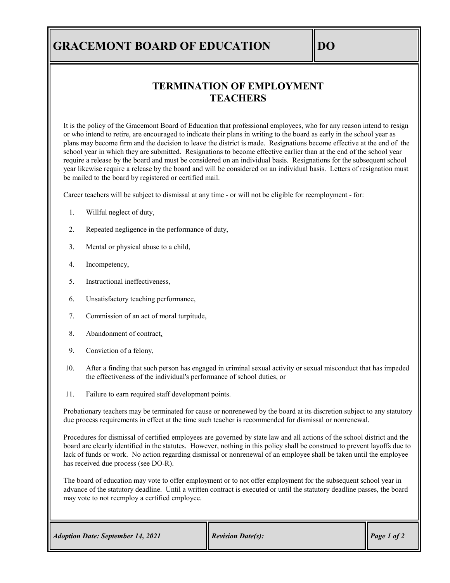## **GRACEMONT BOARD OF EDUCATION DO**

## **TERMINATION OF EMPLOYMENT TEACHERS**

It is the policy of the Gracemont Board of Education that professional employees, who for any reason intend to resign or who intend to retire, are encouraged to indicate their plans in writing to the board as early in the school year as plans may become firm and the decision to leave the district is made. Resignations become effective at the end of the school year in which they are submitted. Resignations to become effective earlier than at the end of the school year require a release by the board and must be considered on an individual basis. Resignations for the subsequent school year likewise require a release by the board and will be considered on an individual basis. Letters of resignation must be mailed to the board by registered or certified mail.

Career teachers will be subject to dismissal at any time - or will not be eligible for reemployment - for:

- 1. Willful neglect of duty,
- 2. Repeated negligence in the performance of duty,
- 3. Mental or physical abuse to a child,
- 4. Incompetency,
- 5. Instructional ineffectiveness,
- 6. Unsatisfactory teaching performance,
- 7. Commission of an act of moral turpitude,
- 8. Abandonment of contract,
- 9. Conviction of a felony,
- 10. After a finding that such person has engaged in criminal sexual activity or sexual misconduct that has impeded the effectiveness of the individual's performance of school duties, or
- 11. Failure to earn required staff development points.

Probationary teachers may be terminated for cause or nonrenewed by the board at its discretion subject to any statutory due process requirements in effect at the time such teacher is recommended for dismissal or nonrenewal.

Procedures for dismissal of certified employees are governed by state law and all actions of the school district and the board are clearly identified in the statutes. However, nothing in this policy shall be construed to prevent layoffs due to lack of funds or work. No action regarding dismissal or nonrenewal of an employee shall be taken until the employee has received due process (see DO-R).

The board of education may vote to offer employment or to not offer employment for the subsequent school year in advance of the statutory deadline. Until a written contract is executed or until the statutory deadline passes, the board may vote to not reemploy a certified employee.